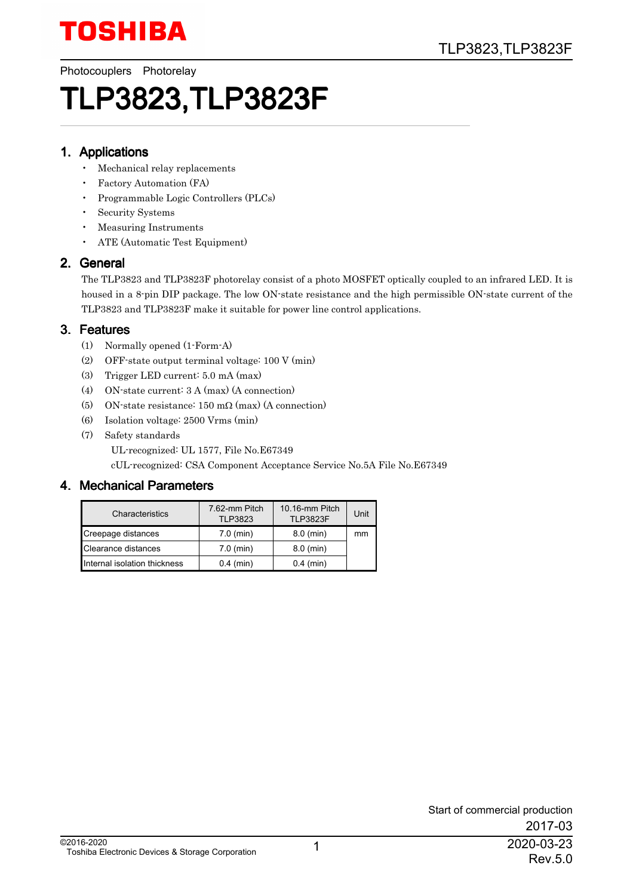Photocouplers Photorelay

# TLP3823,TLP3823F

#### 1. Applications

- Mechanical relay replacements
- Factory Automation (FA)
- Programmable Logic Controllers (PLCs)
- Security Systems
- Measuring Instruments
- ATE (Automatic Test Equipment)

#### 2. General

The TLP3823 and TLP3823F photorelay consist of a photo MOSFET optically coupled to an infrared LED. It is housed in a 8-pin DIP package. The low ON-state resistance and the high permissible ON-state current of the TLP3823 and TLP3823F make it suitable for power line control applications.

#### 3. Features

- (1) Normally opened (1-Form-A)
- (2) OFF-state output terminal voltage: 100 V (min)
- (3) Trigger LED current: 5.0 mA (max)
- (4) ON-state current: 3 A (max) (A connection)
- (5) ON-state resistance:  $150 \text{ m}\Omega$  (max) (A connection)
- (6) Isolation voltage: 2500 Vrms (min)
- (7) Safety standards

UL-recognized: UL 1577, File No.E67349

cUL-recognized: CSA Component Acceptance Service No.5A File No.E67349

#### 4. Mechanical Parameters

| Characteristics              | 7.62-mm Pitch<br><b>TLP3823</b> | 10.16-mm Pitch<br><b>TLP3823F</b> | Unit |
|------------------------------|---------------------------------|-----------------------------------|------|
| Creepage distances           | $7.0$ (min)                     | $8.0$ (min)                       | mm   |
| Clearance distances          | $7.0$ (min)                     | $8.0$ (min)                       |      |
| Internal isolation thickness | $0.4$ (min)                     | $0.4$ (min)                       |      |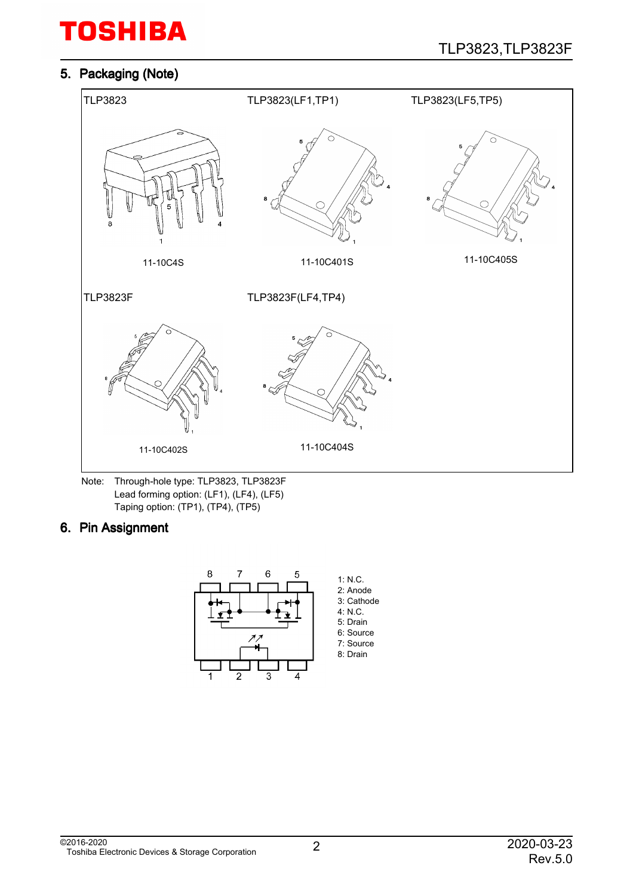#### 5. Packaging (Note)



Note: Through-hole type: TLP3823, TLP3823F Lead forming option: (LF1), (LF4), (LF5) Taping option: (TP1), (TP4), (TP5)

#### 6. Pin Assignment

![](_page_1_Figure_6.jpeg)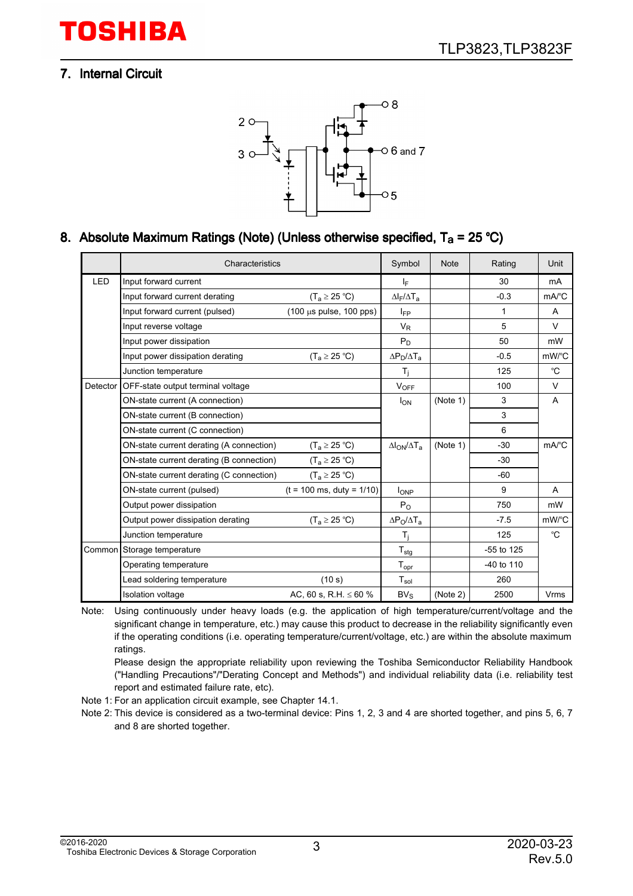#### 7. Internal Circuit

![](_page_2_Figure_3.jpeg)

#### 8. Absolute Maximum Ratings (Note) (Unless otherwise specified, T<sub>a</sub> = 25 °C)

|          | Characteristics                          |                                             | Symbol                                          | <b>Note</b> | Rating       | Unit                |
|----------|------------------------------------------|---------------------------------------------|-------------------------------------------------|-------------|--------------|---------------------|
| LED      | Input forward current                    |                                             | ΙF                                              |             | 30           | mA                  |
|          | Input forward current derating           | $(T_a \geq 25 \degree C)$                   | $\Delta$ <sub>F</sub> / $\Delta$ T <sub>a</sub> |             | $-0.3$       | $mA$ <sup>°</sup> C |
|          | Input forward current (pulsed)           | $(100 \mu s \text{ pulse}, 100 \text{pps})$ | <b>IFP</b>                                      |             | $\mathbf{1}$ | A                   |
|          | Input reverse voltage                    |                                             | $V_R$                                           |             | 5            | V                   |
|          | Input power dissipation                  |                                             | $P_D$                                           |             | 50           | mW                  |
|          | Input power dissipation derating         | $(T_a \geq 25 \degree C)$                   | $\Delta P_D/\Delta T_A$                         |             | $-0.5$       | mW/°C               |
|          | Junction temperature                     |                                             | $T_i$                                           |             | 125          | °C                  |
| Detector | OFF-state output terminal voltage        |                                             | $V_{OFF}$                                       |             | 100          | V                   |
|          | ON-state current (A connection)          |                                             | $I_{ON}$                                        | (Note 1)    | 3            | A                   |
|          | ON-state current (B connection)          |                                             |                                                 |             | 3            |                     |
|          | ON-state current (C connection)          |                                             |                                                 |             | 6            |                     |
|          | ON-state current derating (A connection) | $(T_a \ge 25 °C)$                           | $\Delta I_{ON}/\Delta T_{a}$                    | (Note 1)    | $-30$        | mA/°C               |
|          | ON-state current derating (B connection) | $(T_a \geq 25 \degree C)$                   |                                                 |             | $-30$        |                     |
|          | ON-state current derating (C connection) | $(T_a \geq 25 \text{ °C})$                  |                                                 |             | $-60$        |                     |
|          | ON-state current (pulsed)                | $(t = 100 \text{ ms}, \text{ duty} = 1/10)$ | $I_{OP}$                                        |             | 9            | A                   |
|          | Output power dissipation                 |                                             | $P_{O}$                                         |             | 750          | mW                  |
|          | Output power dissipation derating        | $(T_a \geq 25 \degree C)$                   | $\Delta P_O / \Delta T_a$                       |             | $-7.5$       | mW/°C               |
|          | Junction temperature                     |                                             | T <sub>i</sub>                                  |             | 125          | °C                  |
|          | Common Storage temperature               |                                             | $T_{\text{stg}}$                                |             | -55 to 125   |                     |
|          | Operating temperature                    |                                             | ${\mathsf T}_{\textsf{opr}}$                    |             | -40 to 110   |                     |
|          | Lead soldering temperature               | (10 s)                                      | $T_{sol}$                                       |             | 260          |                     |
|          | <b>Isolation voltage</b>                 | AC, 60 s, R.H. $\leq 60$ %                  | $BV_S$                                          | (Note 2)    | 2500         | Vrms                |

Note: Using continuously under heavy loads (e.g. the application of high temperature/current/voltage and the significant change in temperature, etc.) may cause this product to decrease in the reliability significantly even if the operating conditions (i.e. operating temperature/current/voltage, etc.) are within the absolute maximum ratings.

Please design the appropriate reliability upon reviewing the Toshiba Semiconductor Reliability Handbook ("Handling Precautions"/"Derating Concept and Methods") and individual reliability data (i.e. reliability test report and estimated failure rate, etc).

Note 1: For an application circuit example, see Chapter 14.1.

Note 2: This device is considered as a two-terminal device: Pins 1, 2, 3 and 4 are shorted together, and pins 5, 6, 7 and 8 are shorted together.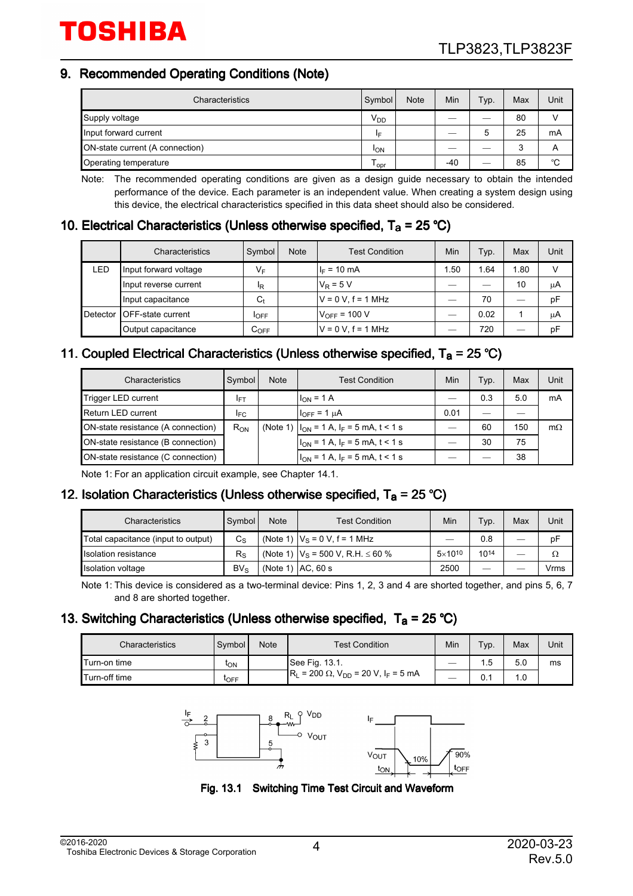#### 9. Recommended Operating Conditions (Note)

| Characteristics                 | Symbol                | <b>Note</b> | Min   | Typ. | Max | Unit |
|---------------------------------|-----------------------|-------------|-------|------|-----|------|
| Supply voltage                  | $V_{DD}$              |             |       |      | 80  |      |
| Input forward current           | I⊏                    |             |       | 5    | 25  | mA   |
| ON-state current (A connection) | <b>I<sub>ON</sub></b> |             |       |      |     | А    |
| Operating temperature           | l opr                 |             | $-40$ | ---  | 85  | °C   |

Note: The recommended operating conditions are given as a design guide necessary to obtain the intended performance of the device. Each parameter is an independent value. When creating a system design using this device, the electrical characteristics specified in this data sheet should also be considered.

#### 10. Electrical Characteristics (Unless otherwise specified,  $T_a = 25 \degree C$ )

|          | Characteristics           | Symbol             | <b>Note</b> | <b>Test Condition</b> | Min  | Typ. | Max  | Unit |
|----------|---------------------------|--------------------|-------------|-----------------------|------|------|------|------|
| LED      | Input forward voltage     | VF                 |             | $I_F = 10 \text{ mA}$ | 1.50 | 1.64 | 1.80 | v    |
|          | Input reverse current     | <sup>I</sup> R     |             | $V_R = 5 V$           |      |      | 10   | μA   |
|          | Input capacitance         | $C_{t}$            |             | $V = 0 V$ . f = 1 MHz |      | 70   |      | pF   |
| Detector | <b>IOFF-state current</b> | <b>I</b> OFF       |             | $V_{OFF}$ = 100 V     |      | 0.02 |      | μA   |
|          | Output capacitance        | $\mathtt{C_{OFF}}$ |             | $V = 0 V, f = 1 MHz$  | --   | 720  |      | рF   |

#### 11. Coupled Electrical Characteristics (Unless otherwise specified,  $T_a = 25 \degree C$ )

| Characteristics                    | Symbol          | <b>Note</b> | <b>Test Condition</b>                               | Min  | Typ. | Max | Unit      |
|------------------------------------|-----------------|-------------|-----------------------------------------------------|------|------|-----|-----------|
| Trigger LED current                | IFT             |             | $I_{ON}$ = 1 A                                      |      | 0.3  | 5.0 | mA        |
| Return LED current                 | I <sub>FC</sub> |             | $I_{\text{OFF}} = 1 \mu A$                          | 0.01 |      |     |           |
| ON-state resistance (A connection) | $R_{ON}$        |             | (Note 1) $ I_{ON} = 1 A$ , $I_F = 5 mA$ , $t < 1 s$ |      | 60   | 150 | $m\Omega$ |
| ON-state resistance (B connection) |                 |             | $I_{ON}$ = 1 A, $I_F$ = 5 mA, t < 1 s               |      | 30   | 75  |           |
| ON-state resistance (C connection) |                 |             | $ I_{ON} = 1 A, I_F = 5 mA, t < 1 s$                |      |      | 38  |           |

Note 1: For an application circuit example, see Chapter 14.1.

#### 12. Isolation Characteristics (Unless otherwise specified,  $T_a = 25 \degree C$ )

| Characteristics                     | Symbol      | <b>Note</b> | Test Condition                              | Min              | Typ.                     | Max | Unit |
|-------------------------------------|-------------|-------------|---------------------------------------------|------------------|--------------------------|-----|------|
| Total capacitance (input to output) | $C_{\rm S}$ |             | (Note 1) $ V_S = 0 V$ , f = 1 MHz           | –                | 0.8                      |     | рF   |
| <b>Isolation resistance</b>         | $R_{\rm S}$ |             | (Note 1) $ V_S = 500 V$ , R.H. $\leq 60 \%$ | $5\times10^{10}$ | 1014                     |     | Ω    |
| Isolation voltage                   | $BV_S$      |             | $(Note 1)$ $AC. 60 s$                       | 2500             | $\overline{\phantom{a}}$ |     | Vrms |

Note 1: This device is considered as a two-terminal device: Pins 1, 2, 3 and 4 are shorted together, and pins 5, 6, 7 and 8 are shorted together.

#### 13. Switching Characteristics (Unless otherwise specified,  $T_a = 25 \degree C$ )

| Characteristics | Symbol          | <b>Note</b> | <b>Test Condition</b>                                        | Min | Typ. | Max | Unit |
|-----------------|-----------------|-------------|--------------------------------------------------------------|-----|------|-----|------|
| Turn-on time    | ι <sub>ΟΝ</sub> |             | See Fig. 13.1.                                               | __  | 1.5  | 5.0 | ms   |
| Turn-off time   | <b>LOFF</b>     |             | $R_L$ = 200 Ω, V <sub>DD</sub> = 20 V, I <sub>F</sub> = 5 mA | __  | v.   | ∣.∪ |      |

![](_page_3_Figure_15.jpeg)

![](_page_3_Figure_16.jpeg)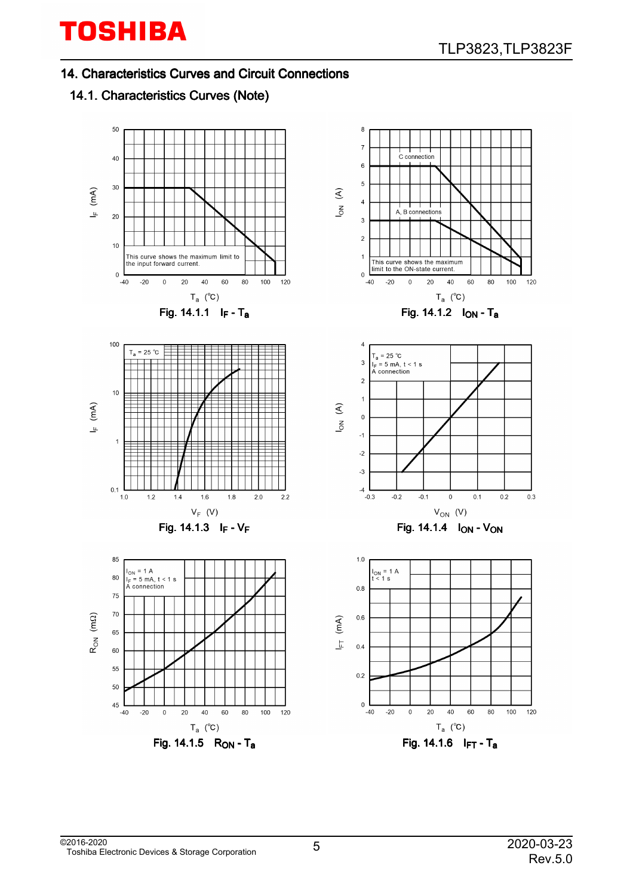14. Characteristics Curves and Circuit Connections

### 14.1. Characteristics Curves (Note)

![](_page_4_Figure_4.jpeg)

![](_page_4_Figure_5.jpeg)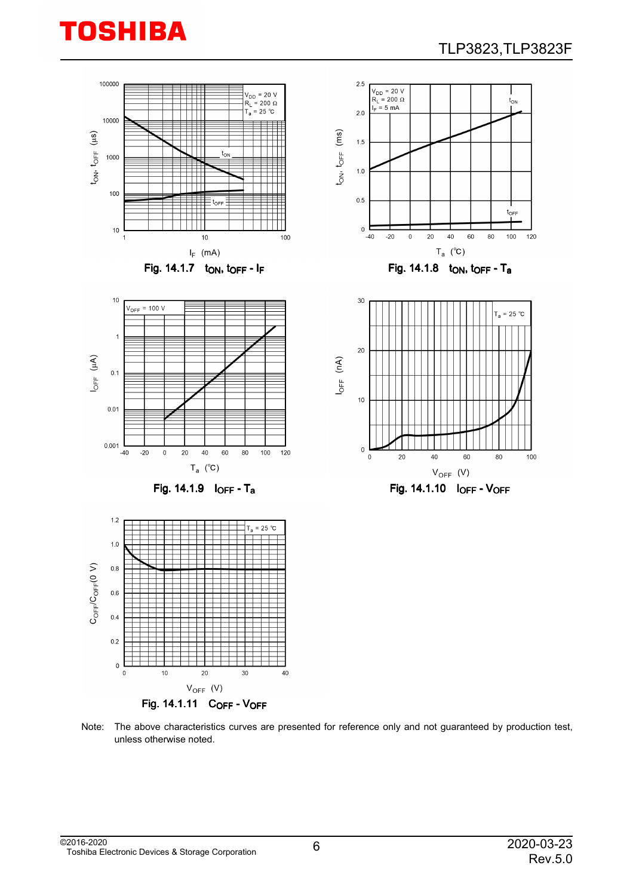![](_page_5_Picture_0.jpeg)

![](_page_5_Figure_2.jpeg)

Note: The above characteristics curves are presented for reference only and not guaranteed by production test, unless otherwise noted.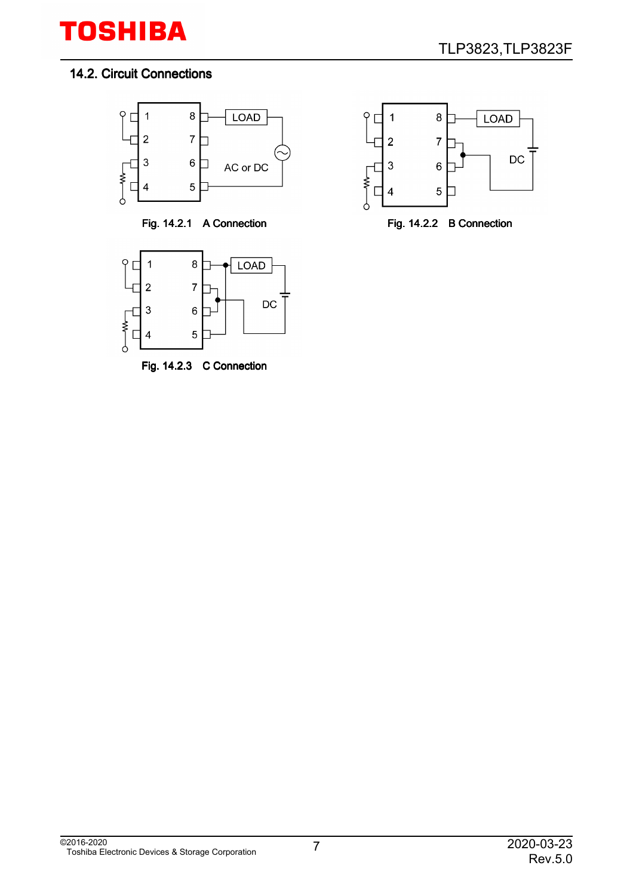#### 14.2. Circuit Connections

![](_page_6_Figure_3.jpeg)

![](_page_6_Figure_5.jpeg)

Fig. 14.2.3 C Connection

![](_page_6_Figure_7.jpeg)

![](_page_6_Figure_8.jpeg)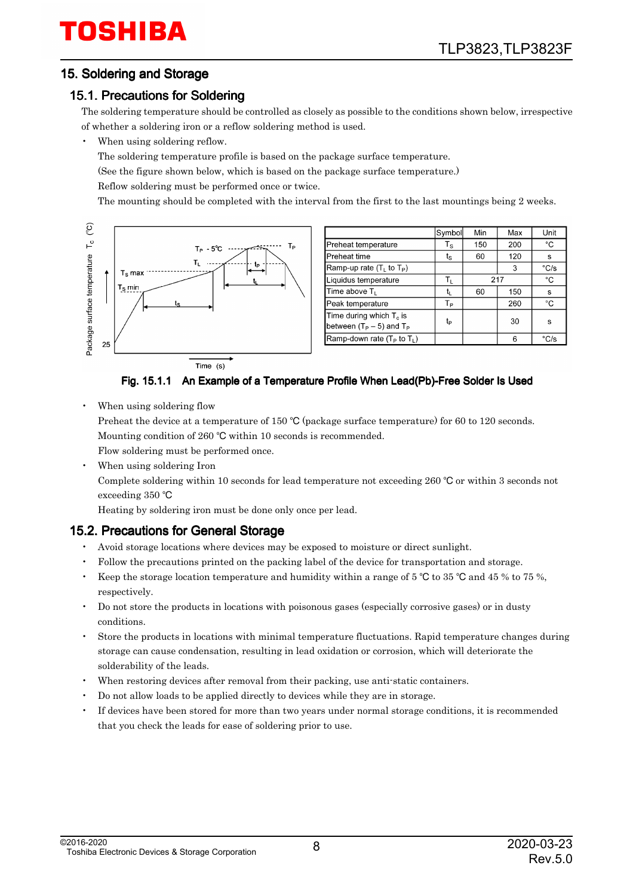#### 15. Soldering and Storage

#### 15.1. Precautions for Soldering

The soldering temperature should be controlled as closely as possible to the conditions shown below, irrespective of whether a soldering iron or a reflow soldering method is used.

When using soldering reflow.

The soldering temperature profile is based on the package surface temperature.

(See the figure shown below, which is based on the package surface temperature.)

Reflow soldering must be performed once or twice.

The mounting should be completed with the interval from the first to the last mountings being 2 weeks.

![](_page_7_Figure_10.jpeg)

|                                                             | Symbol                                          | Min | Max | Unit                   |
|-------------------------------------------------------------|-------------------------------------------------|-----|-----|------------------------|
| Preheat temperature                                         | $T_{\scriptscriptstyle{\mathbf{S}}}$            | 150 | 200 | °C                     |
| Preheat time                                                | $\mathfrak{t}_{\scriptscriptstyle{\mathbf{S}}}$ | 60  | 120 | s                      |
| Ramp-up rate $(TL$ to $TP)$                                 |                                                 |     | 3   | $\mathrm{^{\circ}C/s}$ |
| Liquidus temperature                                        | Tı.                                             |     | 217 | °C                     |
| Time above T <sub>L</sub>                                   | t,                                              | 60  | 150 | s                      |
| Peak temperature                                            | Tр                                              |     | 260 | °C                     |
| Time during which $T_c$ is<br>between $(T_P - 5)$ and $T_P$ | tp                                              |     | 30  | s                      |
| Ramp-down rate ( $T_P$ to $T_L$ )                           |                                                 |     | 6   | $\mathrm{^{\circ}C/s}$ |

Fig. 15.1.1 An Example of a Temperature Profile When Lead(Pb)-Free Solder Is Used

When using soldering flow

Preheat the device at a temperature of 150 °C (package surface temperature) for 60 to 120 seconds. Mounting condition of 260 °C within 10 seconds is recommended.

Flow soldering must be performed once.

When using soldering Iron

Complete soldering within 10 seconds for lead temperature not exceeding 260  $^{\circ}$ C or within 3 seconds not exceeding 350 °C

Heating by soldering iron must be done only once per lead.

#### 15.2. Precautions for General Storage

- Avoid storage locations where devices may be exposed to moisture or direct sunlight.
- Follow the precautions printed on the packing label of the device for transportation and storage.
- Keep the storage location temperature and humidity within a range of 5  $\degree$ C to 35  $\degree$ C and 45 % to 75 %, respectively.
- Do not store the products in locations with poisonous gases (especially corrosive gases) or in dusty conditions.
- Store the products in locations with minimal temperature fluctuations. Rapid temperature changes during storage can cause condensation, resulting in lead oxidation or corrosion, which will deteriorate the solderability of the leads.
- When restoring devices after removal from their packing, use anti-static containers.
- Do not allow loads to be applied directly to devices while they are in storage.
- If devices have been stored for more than two years under normal storage conditions, it is recommended that you check the leads for ease of soldering prior to use.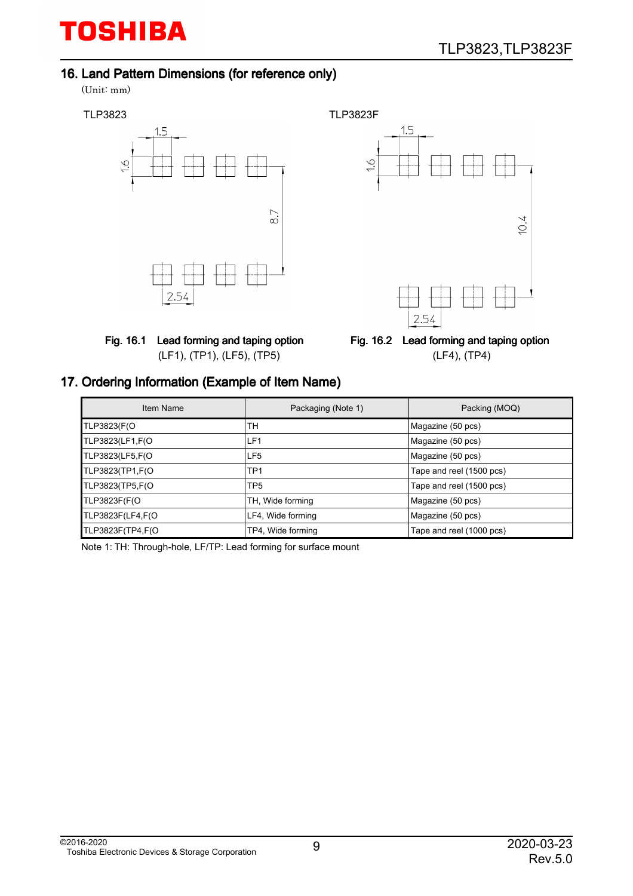#### 16. Land Pattern Dimensions (for reference only)

(Unit: mm)

![](_page_8_Figure_4.jpeg)

![](_page_8_Figure_5.jpeg)

![](_page_8_Figure_6.jpeg)

Fig. 16.2 Lead forming and taping option (LF4), (TP4)

#### 17. Ordering Information (Example of Item Name)

| Item Name        | Packaging (Note 1) | Packing (MOQ)            |
|------------------|--------------------|--------------------------|
| TLP3823(F(O      | TH                 | Magazine (50 pcs)        |
| TLP3823(LF1,F(O  | LF <sub>1</sub>    | Magazine (50 pcs)        |
| TLP3823(LF5,F(O  | LF5                | Magazine (50 pcs)        |
| TLP3823(TP1,F(O  | TP1                | Tape and reel (1500 pcs) |
| TLP3823(TP5,F(O  | TP <sub>5</sub>    | Tape and reel (1500 pcs) |
| TLP3823F(F(O     | TH, Wide forming   | Magazine (50 pcs)        |
| TLP3823F(LF4,F(O | LF4, Wide forming  | Magazine (50 pcs)        |
| TLP3823F(TP4,F(O | TP4, Wide forming  | Tape and reel (1000 pcs) |

Note 1: TH: Through-hole, LF/TP: Lead forming for surface mount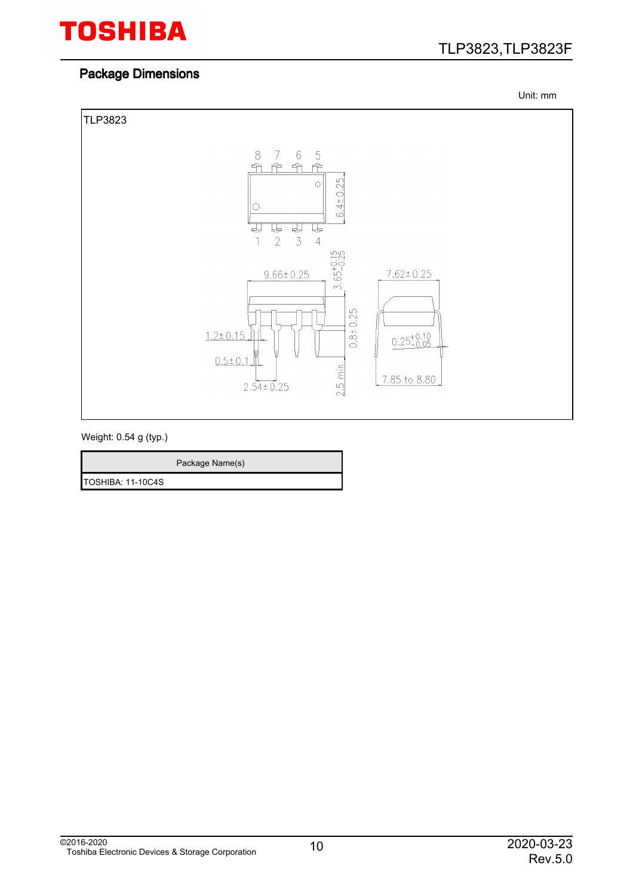### Package Dimensions

TLP3823,TLP3823F

Unit: mm

![](_page_9_Figure_4.jpeg)

Weight: 0.54 g (typ.)

|                   | Package Name(s) |
|-------------------|-----------------|
| TOSHIBA: 11-10C4S |                 |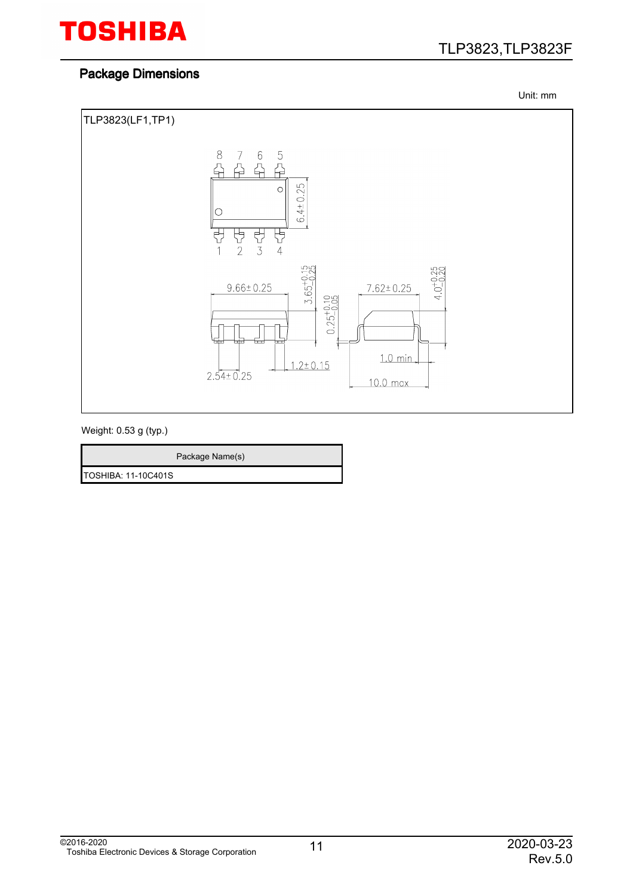### TLP3823,TLP3823F

#### Package Dimensions

Unit: mm

![](_page_10_Figure_4.jpeg)

Weight: 0.53 g (typ.)

|                     | Package Name(s) |
|---------------------|-----------------|
| TOSHIBA: 11-10C401S |                 |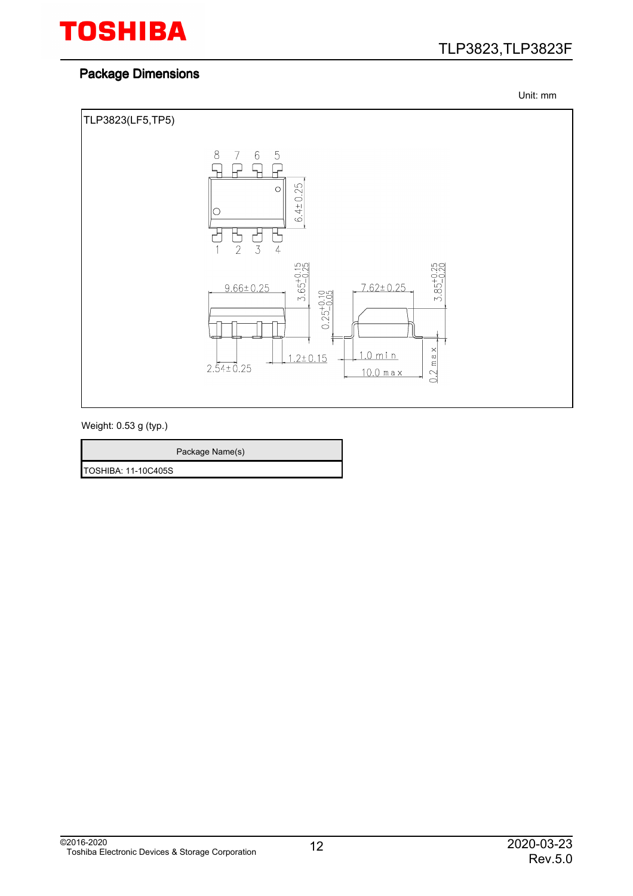### TLP3823,TLP3823F

#### Package Dimensions

Unit: mm

![](_page_11_Figure_4.jpeg)

Weight: 0.53 g (typ.)

TOSHIBA: 11-10C405S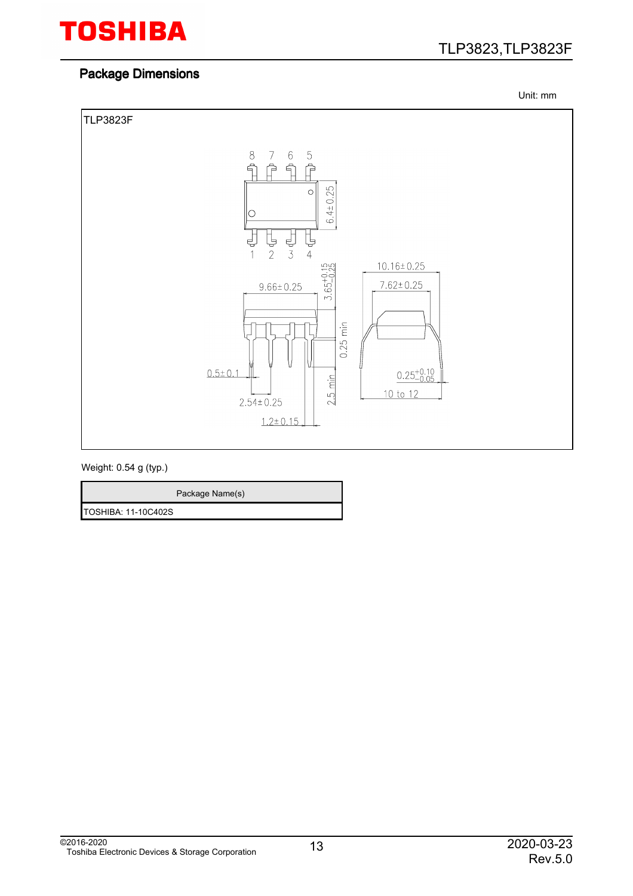#### Package Dimensions

TLP3823,TLP3823F

Unit: mm

![](_page_12_Figure_4.jpeg)

Weight: 0.54 g (typ.)

| Package Name(s)     |  |
|---------------------|--|
| TOSHIBA: 11-10C402S |  |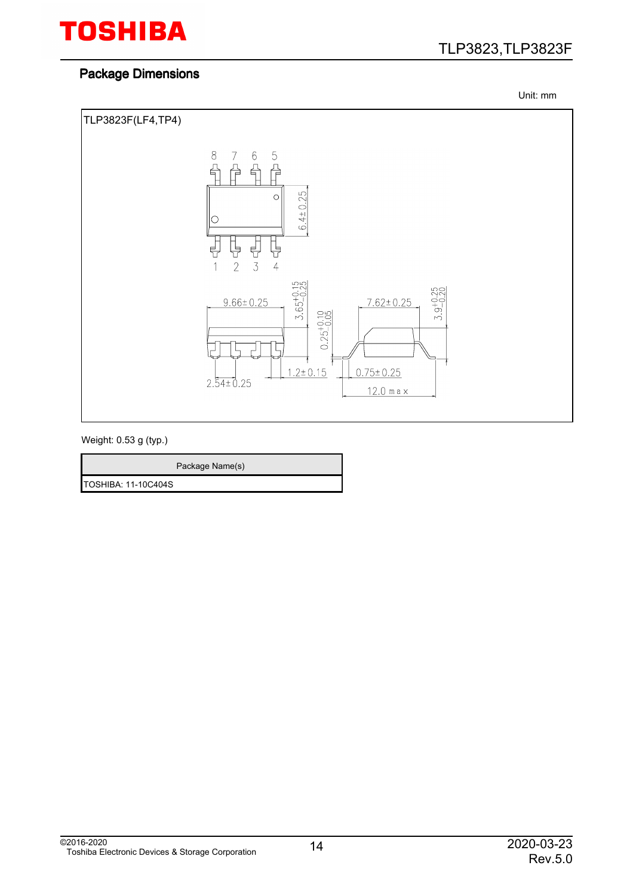### TLP3823,TLP3823F

#### Package Dimensions

Unit: mm

![](_page_13_Figure_4.jpeg)

Weight: 0.53 g (typ.)

|                            | Package Name(s) |
|----------------------------|-----------------|
| <b>TOSHIBA: 11-10C404S</b> |                 |